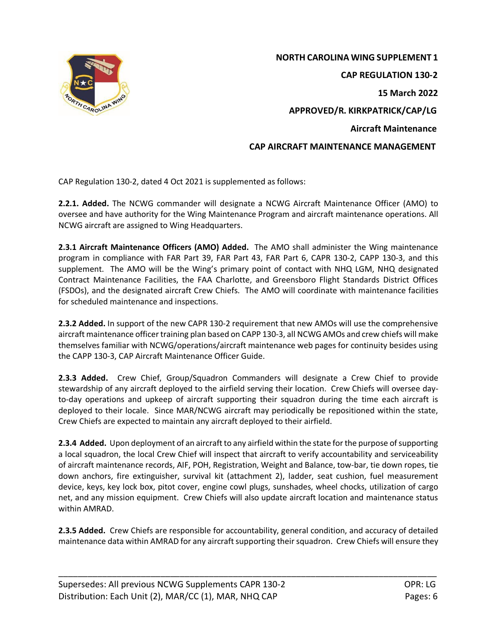

 **NORTH CAROLINA WING SUPPLEMENT 1 CAP REGULATION 130-2 15 March 2022 APPROVED/R. KIRKPATRICK/CAP/LG Aircraft Maintenance CAP AIRCRAFT MAINTENANCE MANAGEMENT**

CAP Regulation 130-2, dated 4 Oct 2021 is supplemented as follows:

**2.2.1. Added.** The NCWG commander will designate a NCWG Aircraft Maintenance Officer (AMO) to oversee and have authority for the Wing Maintenance Program and aircraft maintenance operations. All NCWG aircraft are assigned to Wing Headquarters.

**2.3.1 Aircraft Maintenance Officers (AMO) Added.** The AMO shall administer the Wing maintenance program in compliance with FAR Part 39, FAR Part 43, FAR Part 6, CAPR 130-2, CAPP 130-3, and this supplement. The AMO will be the Wing's primary point of contact with NHQ LGM, NHQ designated Contract Maintenance Facilities, the FAA Charlotte, and Greensboro Flight Standards District Offices (FSDOs), and the designated aircraft Crew Chiefs. The AMO will coordinate with maintenance facilities for scheduled maintenance and inspections.

**2.3.2 Added.** In support of the new CAPR 130-2 requirement that new AMOs will use the comprehensive aircraft maintenance officer training plan based on CAPP 130-3, all NCWG AMOs and crew chiefs will make themselves familiar with NCWG/operations/aircraft maintenance web pages for continuity besides using the CAPP 130-3, CAP Aircraft Maintenance Officer Guide.

**2.3.3 Added.** Crew Chief, Group/Squadron Commanders will designate a Crew Chief to provide stewardship of any aircraft deployed to the airfield serving their location. Crew Chiefs will oversee dayto-day operations and upkeep of aircraft supporting their squadron during the time each aircraft is deployed to their locale. Since MAR/NCWG aircraft may periodically be repositioned within the state, Crew Chiefs are expected to maintain any aircraft deployed to their airfield.

**2.3.4 Added.** Upon deployment of an aircraft to any airfield within the state for the purpose of supporting a local squadron, the local Crew Chief will inspect that aircraft to verify accountability and serviceability of aircraft maintenance records, AIF, POH, Registration, Weight and Balance, tow-bar, tie down ropes, tie down anchors, fire extinguisher, survival kit (attachment 2), ladder, seat cushion, fuel measurement device, keys, key lock box, pitot cover, engine cowl plugs, sunshades, wheel chocks, utilization of cargo net, and any mission equipment. Crew Chiefs will also update aircraft location and maintenance status within AMRAD.

**2.3.5 Added.** Crew Chiefs are responsible for accountability, general condition, and accuracy of detailed maintenance data within AMRAD for any aircraft supporting their squadron. Crew Chiefs will ensure they

\_\_\_\_\_\_\_\_\_\_\_\_\_\_\_\_\_\_\_\_\_\_\_\_\_\_\_\_\_\_\_\_\_\_\_\_\_\_\_\_\_\_\_\_\_\_\_\_\_\_\_\_\_\_\_\_\_\_\_\_\_\_\_\_\_\_\_\_\_\_\_\_\_\_\_\_\_\_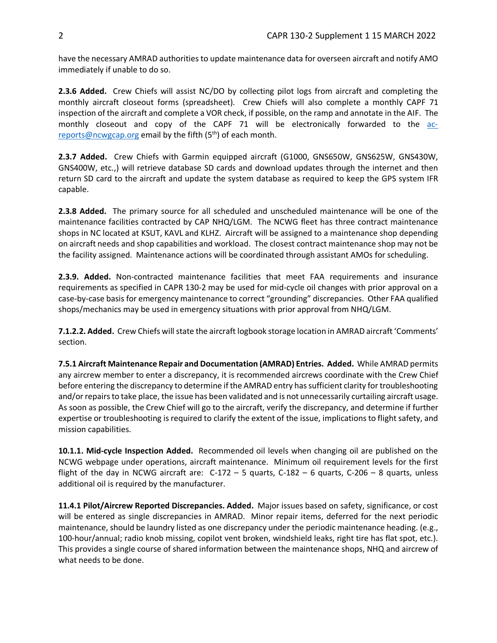have the necessary AMRAD authorities to update maintenance data for overseen aircraft and notify AMO immediately if unable to do so.

**2.3.6 Added.** Crew Chiefs will assist NC/DO by collecting pilot logs from aircraft and completing the monthly aircraft closeout forms (spreadsheet). Crew Chiefs will also complete a monthly CAPF 71 inspection of the aircraft and complete a VOR check, if possible, on the ramp and annotate in the AIF. The monthly closeout and copy of the CAPF 71 will be electronically forwarded to the [ac](mailto:ac-reports@ncwgcap.org)[reports@ncwgcap.org](mailto:ac-reports@ncwgcap.org) email by the fifth  $(5<sup>th</sup>)$  of each month.

**2.3.7 Added.** Crew Chiefs with Garmin equipped aircraft (G1000, GNS650W, GNS625W, GNS430W, GNS400W, etc.,) will retrieve database SD cards and download updates through the internet and then return SD card to the aircraft and update the system database as required to keep the GPS system IFR capable.

**2.3.8 Added.** The primary source for all scheduled and unscheduled maintenance will be one of the maintenance facilities contracted by CAP NHQ/LGM. The NCWG fleet has three contract maintenance shops in NC located at KSUT, KAVL and KLHZ. Aircraft will be assigned to a maintenance shop depending on aircraft needs and shop capabilities and workload. The closest contract maintenance shop may not be the facility assigned. Maintenance actions will be coordinated through assistant AMOs for scheduling.

**2.3.9. Added.** Non-contracted maintenance facilities that meet FAA requirements and insurance requirements as specified in CAPR 130-2 may be used for mid-cycle oil changes with prior approval on a case-by-case basis for emergency maintenance to correct "grounding" discrepancies. Other FAA qualified shops/mechanics may be used in emergency situations with prior approval from NHQ/LGM.

**7.1.2.2. Added.** Crew Chiefs will state the aircraft logbook storage location in AMRAD aircraft 'Comments' section.

**7.5.1 Aircraft Maintenance Repair and Documentation (AMRAD) Entries. Added.** While AMRAD permits any aircrew member to enter a discrepancy, it is recommended aircrews coordinate with the Crew Chief before entering the discrepancy to determine if the AMRAD entry has sufficient clarity for troubleshooting and/or repairs to take place, the issue has been validated and is not unnecessarily curtailing aircraft usage. As soon as possible, the Crew Chief will go to the aircraft, verify the discrepancy, and determine if further expertise or troubleshooting is required to clarify the extent of the issue, implications to flight safety, and mission capabilities.

**10.1.1. Mid-cycle Inspection Added.** Recommended oil levels when changing oil are published on the NCWG webpage under operations, aircraft maintenance. Minimum oil requirement levels for the first flight of the day in NCWG aircraft are:  $C-172 - 5$  quarts,  $C-182 - 6$  quarts,  $C-206 - 8$  quarts, unless additional oil is required by the manufacturer.

**11.4.1 Pilot/Aircrew Reported Discrepancies. Added.** Major issues based on safety, significance, or cost will be entered as single discrepancies in AMRAD. Minor repair items, deferred for the next periodic maintenance, should be laundry listed as one discrepancy under the periodic maintenance heading. (e.g., 100-hour/annual; radio knob missing, copilot vent broken, windshield leaks, right tire has flat spot, etc.). This provides a single course of shared information between the maintenance shops, NHQ and aircrew of what needs to be done.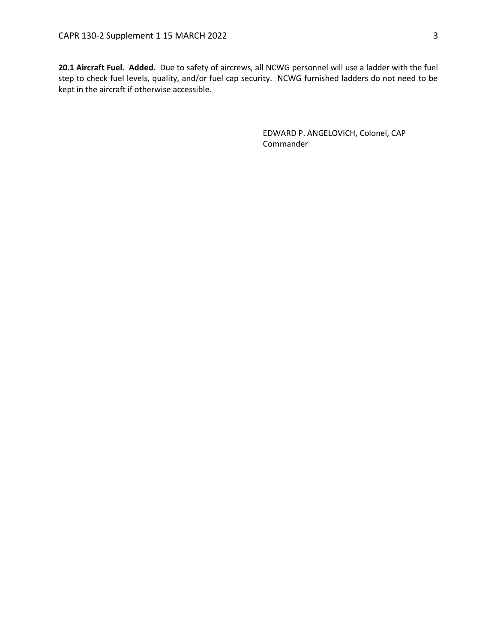**20.1 Aircraft Fuel. Added.** Due to safety of aircrews, all NCWG personnel will use a ladder with the fuel step to check fuel levels, quality, and/or fuel cap security. NCWG furnished ladders do not need to be kept in the aircraft if otherwise accessible.

> EDWARD P. ANGELOVICH, Colonel, CAP Commander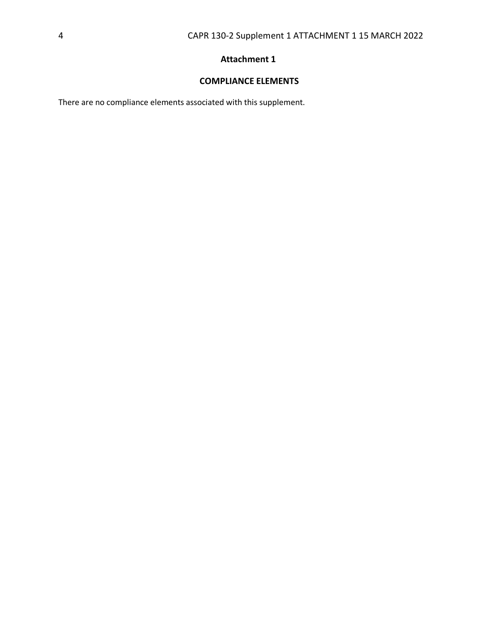# **Attachment 1**

## **COMPLIANCE ELEMENTS**

There are no compliance elements associated with this supplement.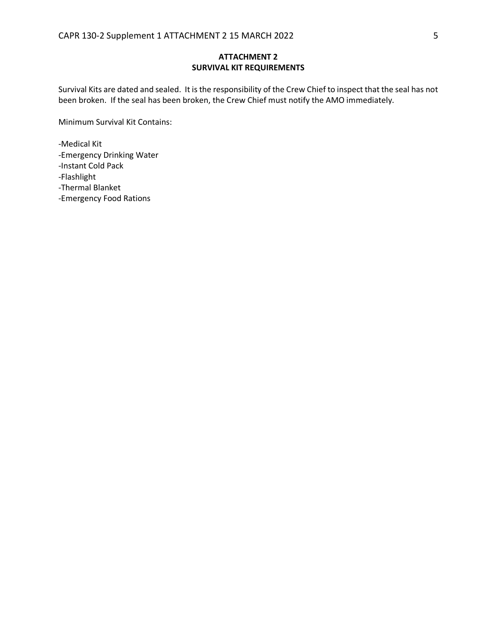#### **ATTACHMENT 2 SURVIVAL KIT REQUIREMENTS**

Survival Kits are dated and sealed. It is the responsibility of the Crew Chief to inspect that the seal has not been broken. If the seal has been broken, the Crew Chief must notify the AMO immediately.

Minimum Survival Kit Contains:

-Medical Kit

-Emergency Drinking Water

-Instant Cold Pack

-Flashlight

-Thermal Blanket

-Emergency Food Rations